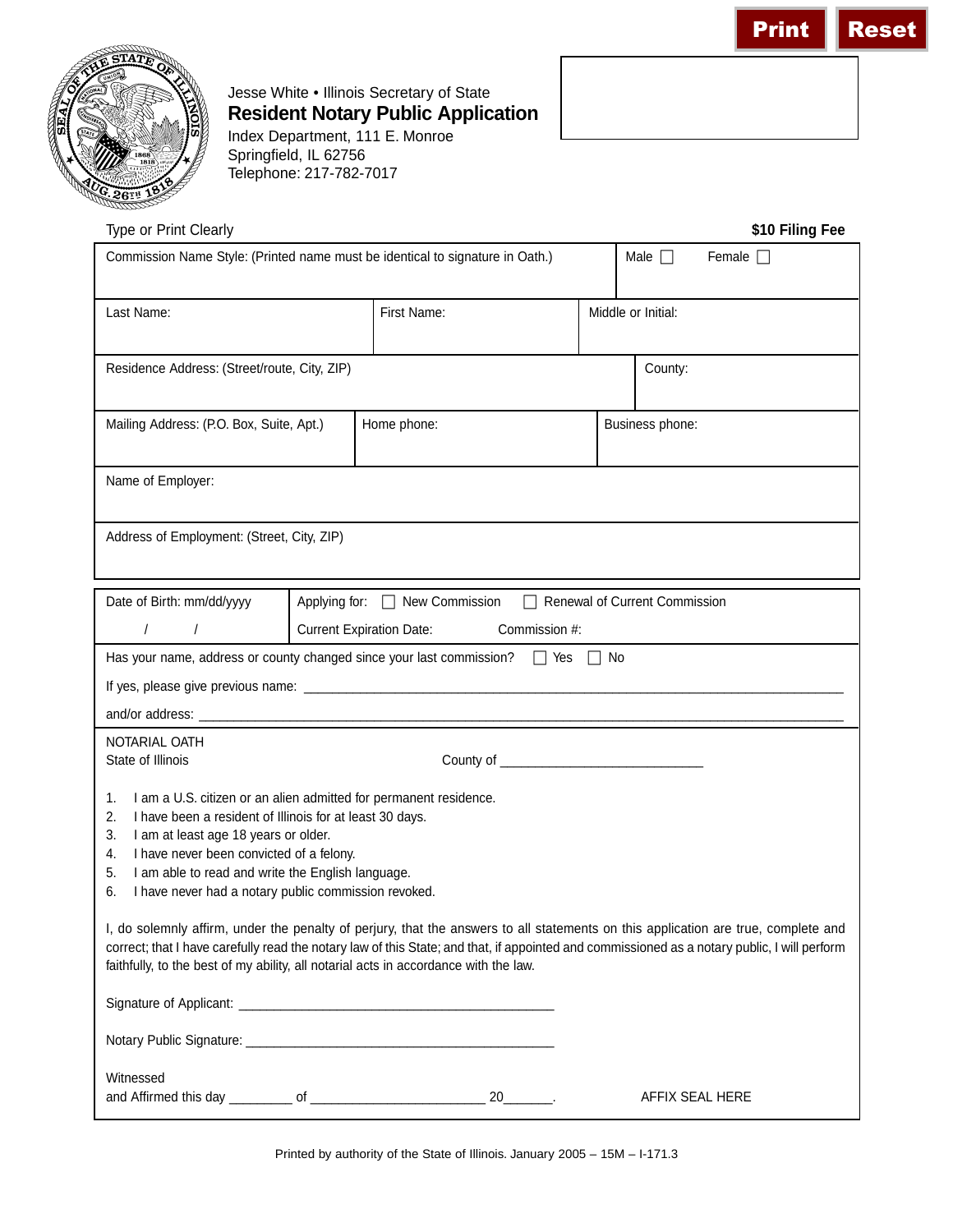



Jesse White • Illinois Secretary of State **Resident Notary Public Application** Index Department, 111 E. Monroe

Springfield, IL 62756 Telephone: 217-782-7017

| \$10 Filing Fee<br>Type or Print Clearly                                                                                                                                                                                                                                                                                                                                   |                                                                        |             |                             |  |                              |  |
|----------------------------------------------------------------------------------------------------------------------------------------------------------------------------------------------------------------------------------------------------------------------------------------------------------------------------------------------------------------------------|------------------------------------------------------------------------|-------------|-----------------------------|--|------------------------------|--|
| Commission Name Style: (Printed name must be identical to signature in Oath.)                                                                                                                                                                                                                                                                                              |                                                                        |             |                             |  | Male $\Box$<br>Female $\Box$ |  |
| Last Name:                                                                                                                                                                                                                                                                                                                                                                 |                                                                        | First Name: |                             |  | Middle or Initial:           |  |
| Residence Address: (Street/route, City, ZIP)                                                                                                                                                                                                                                                                                                                               |                                                                        |             |                             |  | County:                      |  |
| Mailing Address: (P.O. Box, Suite, Apt.)                                                                                                                                                                                                                                                                                                                                   |                                                                        | Home phone: |                             |  | Business phone:              |  |
| Name of Employer:                                                                                                                                                                                                                                                                                                                                                          |                                                                        |             |                             |  |                              |  |
| Address of Employment: (Street, City, ZIP)                                                                                                                                                                                                                                                                                                                                 |                                                                        |             |                             |  |                              |  |
| Date of Birth: mm/dd/yyyy                                                                                                                                                                                                                                                                                                                                                  | Applying for: □ New Commission<br>$\Box$ Renewal of Current Commission |             |                             |  |                              |  |
| $\sqrt{2}$<br>$\sqrt{2}$                                                                                                                                                                                                                                                                                                                                                   | <b>Current Expiration Date:</b><br>Commission #:                       |             |                             |  |                              |  |
| Has your name, address or county changed since your last commission? $\Box$ Yes $\Box$ No                                                                                                                                                                                                                                                                                  |                                                                        |             |                             |  |                              |  |
|                                                                                                                                                                                                                                                                                                                                                                            |                                                                        |             |                             |  |                              |  |
|                                                                                                                                                                                                                                                                                                                                                                            |                                                                        |             |                             |  |                              |  |
| NOTARIAL OATH                                                                                                                                                                                                                                                                                                                                                              |                                                                        |             |                             |  |                              |  |
| State of Illinois                                                                                                                                                                                                                                                                                                                                                          |                                                                        |             |                             |  |                              |  |
| I am a U.S. citizen or an alien admitted for permanent residence.<br>1.<br>2.<br>I have been a resident of Illinois for at least 30 days.<br>3.<br>I am at least age 18 years or older.<br>I have never been convicted of a felony.<br>4.<br>I am able to read and write the English language.<br>5.<br>I have never had a notary public commission revoked.<br>6.         |                                                                        |             |                             |  |                              |  |
| I, do solemnly affirm, under the penalty of perjury, that the answers to all statements on this application are true, complete and<br>correct; that I have carefully read the notary law of this State; and that, if appointed and commissioned as a notary public, I will perform<br>faithfully, to the best of my ability, all notarial acts in accordance with the law. |                                                                        |             |                             |  |                              |  |
|                                                                                                                                                                                                                                                                                                                                                                            |                                                                        |             |                             |  |                              |  |
| Witnessed                                                                                                                                                                                                                                                                                                                                                                  |                                                                        |             |                             |  |                              |  |
|                                                                                                                                                                                                                                                                                                                                                                            |                                                                        |             | $20$ <sub>_________</sub> . |  | AFFIX SEAL HERE              |  |